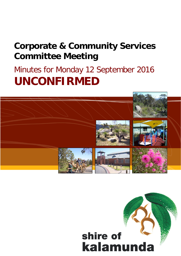# **Corporate & Community Services Committee Meeting**

# Minutes for Monday 12 September 2016 **UNCONFIRMED**



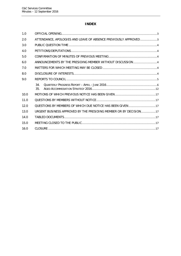# **INDEX**

| 1.0  |                                                                   |  |
|------|-------------------------------------------------------------------|--|
| 2.0  | ATTENDANCE, APOLOGIES AND LEAVE OF ABSENCE PREVIOUSLY APPROVED3   |  |
| 3.0  |                                                                   |  |
| 4.0  |                                                                   |  |
| 5.0  |                                                                   |  |
| 6.0  | ANNOUNCEMENTS BY THE PRESIDING MEMBER WITHOUT DISCUSSION4         |  |
| 7.0  |                                                                   |  |
| 8.0  |                                                                   |  |
| 9.0  |                                                                   |  |
|      | 34.<br>35.                                                        |  |
| 10.0 |                                                                   |  |
| 11.0 |                                                                   |  |
| 12.0 | QUESTIONS BY MEMBERS OF WHICH DUE NOTICE HAS BEEN GIVEN 17        |  |
| 13.0 | URGENT BUSINESS APPROVED BY THE PRESIDING MEMBER OR BY DECISION17 |  |
| 14.0 |                                                                   |  |
| 15.0 |                                                                   |  |
| 16.0 |                                                                   |  |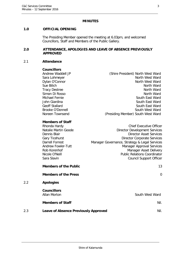## **MINUTES**

## <span id="page-2-0"></span>**1.0 OFFICIAL OPENING**

The Presiding Member opened the meeting at 6.03pm, and welcomed Councillors, Staff and Members of the Public Gallery.

#### <span id="page-2-1"></span>**2.0 ATTENDANCE, APOLOGIES AND LEAVE OF ABSENCE PREVIOUSLY APPROVED**

#### 2.1 **Attendance**

#### **Councillors**

| Andrew Waddell JP | (Shire President) North West Ward  |
|-------------------|------------------------------------|
| Sara Lohmeyer     | North West Ward                    |
| Dylan O'Connor    | North West Ward                    |
| Sue Bilich        | North Ward                         |
| Tracy Destree     | North Ward                         |
| Simon Di Rosso    | North Ward                         |
| Michael Fernie    | South East Ward                    |
| John Giardina     | South East Ward                    |
| Geoff Stallard    | South East Ward                    |
| Brooke O'Donnell  | South West Ward                    |
| Noreen Townsend   | (Presiding Member) South West Ward |
|                   |                                    |

## **Members of Staff**

| Rhonda Hardy                 | <b>Chief Executive Officer</b>                |
|------------------------------|-----------------------------------------------|
| Natalie Martin Goode         | <b>Director Development Services</b>          |
| Dennis Blair                 | <b>Director Asset Services</b>                |
| <b>Gary Ticehurst</b>        | <b>Director Corporate Services</b>            |
| <b>Darrell Forrest</b>       | Manager Governance, Strategy & Legal Services |
| Andrew Fowler-Tutt           | <b>Manager Approval Services</b>              |
| Rob Korenhof                 | Manager Asset Delivery                        |
| Nicole O'Neill               | <b>Public Relations Coordinator</b>           |
| Sara Slavin                  | <b>Council Support Officer</b>                |
|                              |                                               |
| <b>Members of the Public</b> | 13                                            |

## **Members of the Press** 0

## 2.2 **Apologies**

|     | <b>Councillors</b><br>Allan Morton          | South West Ward |  |
|-----|---------------------------------------------|-----------------|--|
|     | <b>Members of Staff</b>                     | Nil.            |  |
| 2.3 | <b>Leave of Absence Previously Approved</b> | Nil.            |  |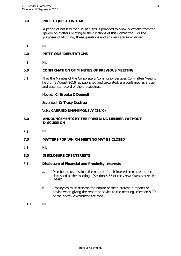## <span id="page-3-0"></span>**3.0 PUBLIC QUESTION TIME**

A period of not less than 15 minutes is provided to allow questions from the gallery on matters relating to the functions of this Committee. For the purposes of Minuting, these questions and answers are summarised.

3.1 Nil.

## <span id="page-3-1"></span>**4.0 PETITIONS/DEPUTATIONS**

4.1 Nil.

## <span id="page-3-2"></span>**5.0 CONFIRMATION OF MINUTES OF PREVIOUS MEETING**

5.1 That the Minutes of the Corporate & Community Services Committee Meeting held on 8 August 2016, as published and circulated, are confirmed as a true and accurate record of the proceedings.

Moved: **Cr Brooke O'Donnell**

Seconded: **Cr Tracy Destree**

Vote: **CARRIED UNANIMOUSLY (11/0)**

- <span id="page-3-3"></span>**6.0 ANNOUNCEMENTS BY THE PRESIDING MEMBER WITHOUT DISCUSSION**
- 6.1 Nil.
- <span id="page-3-4"></span>**7.0 MATTERS FOR WHICH MEETING MAY BE CLOSED**
- 7.1 Nil.
- <span id="page-3-5"></span>**8.0 DISCLOSURE OF INTERESTS**

## 8.1 **Disclosure of Financial and Proximity Interests**

- a. Members must disclose the nature of their interest in matters to be discussed at the meeting. (Section 5.65 of the Local Government Act 1995.)
- b. Employees must disclose the nature of their interest in reports or advice when giving the report or advice to the meeting. (Section 5.70 of the Local Government Act 1995.)
- 8.1.1 Nil.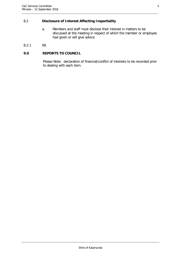# 8.2 **Disclosure of Interest Affecting Impartiality**

- a. Members and staff must disclose their interest in matters to be discussed at the meeting in respect of which the member or employee had given or will give advice.
- 8.2.1 Nil.

## <span id="page-4-0"></span>**9.0 REPORTS TO COUNCIL**

Please Note: declaration of financial/conflict of interests to be recorded prior to dealing with each item.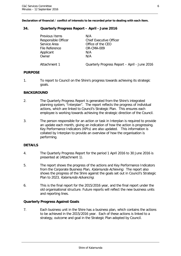## <span id="page-5-0"></span>**34. Quarterly Progress Report – April - June 2016**

| Previous Items      | N/A                                           |
|---------------------|-----------------------------------------------|
| Responsible Officer | Chief Executive Officer                       |
| Service Area        | Office of the CEO                             |
| File Reference      | OR-CMA-009                                    |
| Applicant           | N/A                                           |
| Owner               | N/A                                           |
| Attachment 1        | Quarterly Progress Report - April - June 2016 |

## **PURPOSE**

1. To report to Council on the Shire's progress towards achieving its strategic goals.

## **BACKGROUND**

- 2. The Quarterly Progress Report is generated from the Shire's integrated planning system, "Interplan". The report reflects the progress of individual actions, which are linked to Council's Strategic Plan. This ensures each employee is working towards achieving the strategic direction of the Council.
- 3. The person responsible for an action or task in Interplan is required to provide an update each month, giving an indication of how the action is progressing. Key Performance Indicators (KPIs) are also updated. This information is collated by Interplan to provide an overview of how the organisation is performing.

## **DETAILS**

- 4. The Quarterly Progress Report for the period 1 April 2016 to 30 June 2016 is presented at (Attachment 1).
- 5. The report shows the progress of the actions and Key Performance Indicators from the Corporate Business Plan, Kalamunda Achieving. The report also shows the progress of the Shire against the goals set out in Council's Strategic Plan to 2023, Kalamunda Advancing.
- 6. This is the final report for the 2015/2016 year, and the final report under the old organisational structure. Future reports will reflect the new business units and reporting lines.

## **Quarterly Progress Against Goals**

7. Each business unit in the Shire has a business plan, which contains the actions to be achieved in the 2015/2016 year. Each of these actions is linked to a strategy, outcome and goal in the Strategic Plan adopted by Council.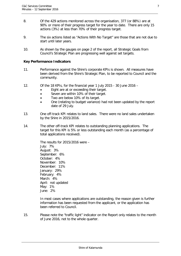- 8. Of the 429 actions monitored across the organisation, 377 (or 88%) are at 90% or more of their progress target for the year to date. There are only 15 actions (3%) at less than 70% of their progress target.
- 9. The six actions listed as "Actions With No Target" are those that are not due to start until later years.
- 10. As shown by the gauges on page 2 of the report, all Strategic Goals from Council's Strategic Plan are progressing well against set targets.

#### **Key Performance Indicators**

- 11. Performance against the Shire's corporate KPIs is shown. All measures have been derived from the Shire's Strategic Plan, to be reported to Council and the community.
- 12. Of the 18 KPIs, for the financial year 1 July 2015 30 June 2016
	- Eight are at or exceeding their target.
	- Seven are within 10% of their target.
	- Two are below 10% of its target.
	- One (relating to budget variance) had not been updated by the report date of 29 July.
- 13. One off-track KPI relates to land sales. There were no land sales undertaken by the Shire in 2015/2016.
- 14. The other off-track KPI relates to outstanding planning applications. The target for this KPI is 5% or less outstanding each month (as a percentage of total applications received).

The results for 2015/2016 were – July: 7% August: 3% September: 6% October: 4% November: 10% December: 11% January: 29% February: 4% March: 4% April: not updated May: 1% June: 2%

In most cases where applications are outstanding, the reason given is further information has been requested from the applicant, or the application has been referred to Council.

15. Please note the "traffic light" indicator on the Report only relates to the month of June 2016, not to the whole quarter.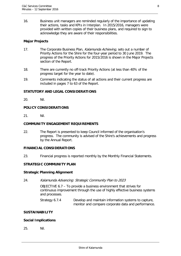16. Business unit managers are reminded regularly of the importance of updating their actions, tasks and KPIs in Interplan. In 2015/2016, managers were provided with written copies of their business plans, and required to sign to acknowledge they are aware of their responsibilities.

## **Major Projects**

- 17. The Corporate Business Plan, Kalamunda Achieving, sets out a number of Priority Actions for the Shire for the four-year period to 30 June 2019. The progress of the Priority Actions for 2015/2016 is shown in the Major Projects section of the Report.
- 18. There are currently no off-track Priority Actions (at less than 40% of the progress target for the year to date).
- 19. Comments indicating the status of all actions and their current progress are included in pages 7 to 63 of the Report.

## **STATUTORY AND LEGAL CONSIDERATIONS**

20. Nil.

## **POLICY CONSIDERATIONS**

21. Nil.

## **COMMUNITY ENGAGEMENT REQUIREMENTS**

22. The Report is presented to keep Council informed of the organisation's progress. The community is advised of the Shire's achievements and progress by the Annual Report.

## **FINANCIAL CONSIDERATIONS**

23. Financial progress is reported monthly by the Monthly Financial Statements.

## **STRATEGIC COMMUNITY PLAN**

#### **Strategic Planning Alignment**

24. Kalamunda Advancing: Strategic Community Plan to 2023

OBJECTIVE 6.7 – To provide a business environment that strives for continuous improvement through the use of highly effective business systems and processes.

Strategy 6.7.4 Develop and maintain information systems to capture, monitor and compare corporate data and performance.

## **SUSTAINABILITY**

## **Social Implications**

25. Nil.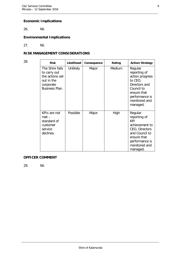# **Economic Implications**

26. Nil.

# **Environmental Implications**

27. Nil.

## **RISK MANAGEMENT CONSIDERATIONS**

| 28. | <b>Risk</b>                                                                                            | Likelihood      | Consequence | Rating | <b>Action/Strategy</b>                                                                                                                             |
|-----|--------------------------------------------------------------------------------------------------------|-----------------|-------------|--------|----------------------------------------------------------------------------------------------------------------------------------------------------|
|     | The Shire fails<br>to carry out<br>the actions set<br>out in the<br>corporate<br><b>Business Plan.</b> | <b>Unlikely</b> | Major       | Medium | Regular<br>reporting of<br>action progress<br>to CEO,<br>Directors and<br>Council to<br>ensure that<br>performance is<br>monitored and<br>managed. |
|     | KPIs are not<br>$met -$<br>standard of<br>customer<br>service<br>declines.                             | Possible        | Major       | High   | Regular<br>reporting of<br>KPI<br>achievement to<br>CEO, Directors<br>and Council to<br>ensure that<br>performance is<br>monitored and<br>managed. |

## **OFFICER COMMENT**

29. Nil.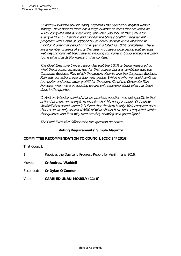Cr Andrew Waddell sought clarity regarding the Quarterly Progress Report stating I have noticed there are a large number of items that are listed as 100% complete with a green light, yet when you look at them, take for example "1.6.1.1 Maintain and monitor the Shire's Graffiti management program" with a date of 30/06/2019 so obviously that is the intention to monitor it over that period of time, yet it is listed as 100% completed. There are a number of items like this that seem to have a time period that extends well beyond now yet they have an ongoing component. Could someone explain to me what that 100% means in that context?

The Chief Executive Officer responded that the 100% is being measured on what the program achieved just for that quarter but it is combined with the Corporate Business Plan which the system absorbs and the Corporate Business Plan sets out actions over a four year period. Which is why we would continue to monitor and clean away graffiti for the entire life of the Corporate Plan. However when we are reporting we are only reporting about what has been done in the quarter.

Cr Andrew Waddell clarified that his previous question was not specific to that action but more an example to explain what his query is about. Cr Andrew Waddell then asked where it is listed that the item is only 50% complete does that mean we only achieved 50% of what should have been completed within that quarter, and if so why then are they showing as a green light?

The Chief Executive Officer took this question on notice.

## **Voting Requirements: Simple Majority**

## **COMMITTEE RECOMMENDATION TO COUNCIL (C&C 34/2016)**

That Council:

1. Receives the Quarterly Progress Report for April – June 2016.

Moved: **Cr Andrew Waddell**

Seconded: **Cr Dylan O'Connor**

Vote: **CARRIED UNANIMOUSLY (11/0)**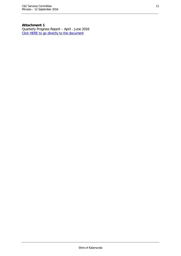# **Attachment 1**

Quarterly Progress Report – April - June 2016 [Click HERE to go directly to the document](http://www.kalamunda.wa.gov.au/files/9c70bf81-34bf-4307-a763-a67a010af5f2/Item-34-Att-1-CC-12-September-2016.pdf)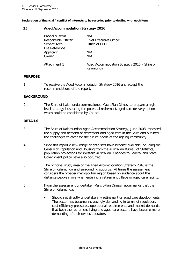**Declaration of financial / conflict of interests to be recorded prior to dealing with each item.**

## <span id="page-11-0"></span>**35. Aged Accommodation Strategy 2016**

| Previous Items<br>Responsible Officer<br>Service Area | N/A<br><b>Chief Executive Officer</b><br>Office of CEO   |
|-------------------------------------------------------|----------------------------------------------------------|
| File Reference                                        |                                                          |
| Applicant                                             | N/A                                                      |
| Owner                                                 | N/A                                                      |
| Attachment 1                                          | Aged Accommodation Strategy 2016 – Shire of<br>Kalamunda |

## **PURPOSE**

1. To receive the Aged Accommodation Strategy 2016 and accept the recommendations of the report.

## **BACKGROUND**

2. The Shire of Kalamunda commissioned MacroPlan Dimasi to prepare a high level strategy illustrating the potential retirement/aged care delivery options which could be considered by Council.

## **DETAILS**

- 3. The Shire of Kalamunda's Aged Accommodation Strategy, June 2008, assessed the supply and demand of retirement and aged care in the Shire and outlined the challenges to cater for the future needs of the ageing community.
- 4. Since this report a new range of data sets have become available including the Census of Population and Housing from the Australian Bureau of Statistics, population projections for Western Australian. Changes to Federal and State Government policy have also occurred.
- 5. The principal study area of the Aged Accommodation Strategy 2016 is the Shire of Kalamunda and surrounding suburbs. At times the assessment considers the broader metropolitan region based on evidence about the distance people move when entering a retirement village or aged care facility.
- 6. From the assessment undertaken MarcroPlan Dimasi recommends that the Shire of Kalamunda:
	- Should not directly undertake any retirement or aged care developments. The sector has become increasingly demanding in terms of regulation, cost efficiency pressures, operational requirements and market demands that both the retirement living and aged care sectors have become more demanding of their owner/operators;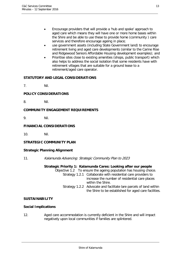- Encourage providers that will provide a 'hub and spoke' approach to aged care which means they will have one or more home bases within the Shire and be able to use these to provide home (community ) care services and therefore encourage ageing in place;
- use government assets (including State Government land) to encourage retirement living and aged care developments (similar to the Carine Rise and Ridgewood Seniors Affordable Housing development examples); and
- Prioritise sites close to existing amenities (shops, public transport) which also helps to address the social isolation that some residents have with retirement villages that are suitable for a ground lease to a retirement/aged care operator.

# **STATUTORY AND LEGAL CONSIDERATIONS**

7. Nil.

# **POLICY CONSIDERATIONS**

8. Nil.

## **COMMUNITY ENGAGEMENT REQUIREMENTS**

9. Nil.

## **FINANCIAL CONSIDERATIONS**

10. Nil.

## **STRATEGIC COMMUNITY PLAN**

## **Strategic Planning Alignment**

11. Kalamunda Advancing: Strategic Community Plan to 2023

## **Strategic Priority 1: Kalamunda Cares: Looking after our people**

Objective 1.2 To ensure the ageing poputalion has housing choice. Strategy 1.2.1 Collaborate with residential care providers to

- increase the number of residential care places within the Shire. Strategy 1.2.2 Advocate and facilitate lare parcels of land within
	- the Shire to be established for aged care facilities.

## **SUSTAINABILITY**

## **Social Implications**

12. Aged care accommodation is currently deficient in the Shire and will impact negatively upon local communities if families are splintered.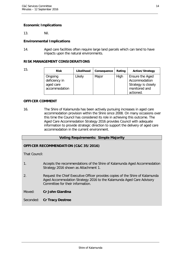## **Economic Implications**

13. Nil.

#### **Environmental Implications**

14. Aged care facilities often require large land parcels which can tend to have impacts upon the natural environments.

#### **RISK MANAGEMENT CONSIDERATIONS**

| 15. | <b>Risk</b>                                            | Likelihood | Consequence | Rating | <b>Action/Strategy</b>                                                                |
|-----|--------------------------------------------------------|------------|-------------|--------|---------------------------------------------------------------------------------------|
|     | Ongoing<br>deficiency in<br>aged care<br>accommodation | Likely     | Major       | High   | Ensure the Aged<br>Accommodation<br>Strategy is closely<br>monitored and<br>actioned. |

#### **OFFICER COMMENT**

16. The Shire of Kalamunda has been actively pursuing increases in aged care accommodation provision within the Shire since 2008. On many occasions over this time the Council has considered its role in achieving this outcome. The Aged Care Accommodation Strategy 2016 provides Council with adequate information to provide strategic direction to support the delivery of aged care accommodation in the current environment.

#### **Voting Requirements: Simple Majority**

## **OFFICER RECOMMENDATION (C&C 35/2016)**

That Council:

- 1. Accepts the recommendations of the Shire of Kalamunda Aged Accommodation Strategy 2016 shown as Attachment 1.
- 2. Request the Chief Executive Officer provides copies of the Shire of Kalamunda Aged Accommodation Strategy 2016 to the Kalamunda Aged Care Advisory Committee for their information.

Moved: **Cr John Giardina**

Seconded: **Cr Tracy Destree**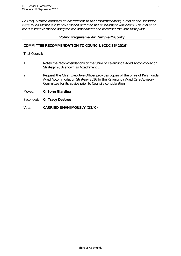Cr Tracy Destree proposed an amendment to the recommendation, a mover and seconder were found for the substantive motion and then the amendment was heard. The mover of the substantive motion accepted the amendment and therefore the vote took place.

## **Voting Requirements: Simple Majority**

## **COMMITTEE RECOMMENDATION TO COUNCIL (C&C 35/2016)**

That Council:

- 1. Notes the recommendations of the Shire of Kalamunda Aged Accommodation Strategy 2016 shown as Attachment 1.
- 2. Request the Chief Executive Officer provides copies of the Shire of Kalamunda Aged Accommodation Strategy 2016 to the Kalamunda Aged Care Advisory Committee for its advice prior to Councils consideration.
- Moved: **Cr John Giardina**
- Seconded: **Cr Tracy Destree**
- Vote: **CARRIED UNANIMOUSLY (11/0)**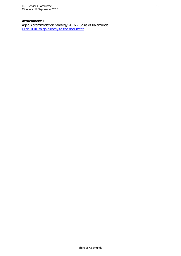# **Attachment 1**

Aged Accommodation Strategy 2016 – Shire of Kalamunda [Click HERE to go directly to the document](http://www.kalamunda.wa.gov.au/files/7580ef26-0acb-48ea-bd21-a67a010b205f/Item-35-Att-1-CC-12-September-2016.pdf)